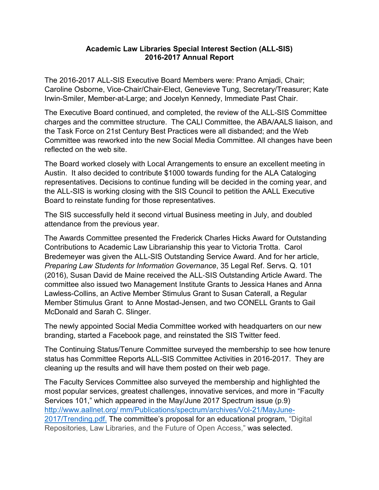## **Academic Law Libraries Special Interest Section (ALL-SIS) 2016-2017 Annual Report**

The 2016-2017 ALL-SIS Executive Board Members were: Prano Amjadi, Chair; Caroline Osborne, Vice-Chair/Chair-Elect, Genevieve Tung, Secretary/Treasurer; Kate Irwin-Smiler, Member-at-Large; and Jocelyn Kennedy, Immediate Past Chair.

The Executive Board continued, and completed, the review of the ALL-SIS Committee charges and the committee structure. The CALI Committee, the ABA/AALS liaison, and the Task Force on 21st Century Best Practices were all disbanded; and the Web Committee was reworked into the new Social Media Committee. All changes have been reflected on the web site.

The Board worked closely with Local Arrangements to ensure an excellent meeting in Austin. It also decided to contribute \$1000 towards funding for the ALA Cataloging representatives. Decisions to continue funding will be decided in the coming year, and the ALL-SIS is working closing with the SIS Council to petition the AALL Executive Board to reinstate funding for those representatives.

The SIS successfully held it second virtual Business meeting in July, and doubled attendance from the previous year.

The Awards Committee presented the Frederick Charles Hicks Award for Outstanding Contributions to Academic Law Librarianship this year to Victoria Trotta. Carol Bredemeyer was given the ALL-SIS Outstanding Service Award. And for her article, *Preparing Law Students for Information Governance*, 35 Legal Ref. Servs. Q. 101 (2016), Susan David de Maine received the ALL‐SIS Outstanding Article Award. The committee also issued two Management Institute Grants to Jessica Hanes and Anna Lawless-Collins, an Active Member Stimulus Grant to Susan Caterall, a Regular Member Stimulus Grant to Anne Mostad-Jensen, and two CONELL Grants to Gail McDonald and Sarah C. Slinger.

The newly appointed Social Media Committee worked with headquarters on our new branding, started a Facebook page, and reinstated the SIS Twitter feed.

The Continuing Status/Tenure Committee surveyed the membership to see how tenure status has Committee Reports ALL-SIS Committee Activities in 2016-2017. They are cleaning up the results and will have them posted on their web page.

The Faculty Services Committee also surveyed the membership and highlighted the most popular services, greatest challenges, innovative services, and more in "Faculty Services 101," which appeared in the May/June 2017 Spectrum issue (p.9) [http://www.aallnet.org/ mm/Publications/spectrum/archives/Vol-21/MayJune-](http://www.aallnet.org/%20mm/Publications/spectrum/archives/Vol-21/MayJune-%202017/Trending.pdf.)[2017/Trending.pdf.](http://www.aallnet.org/%20mm/Publications/spectrum/archives/Vol-21/MayJune-%202017/Trending.pdf.) The committee's proposal for an educational program, "Digital Repositories, Law Libraries, and the Future of Open Access," was selected.